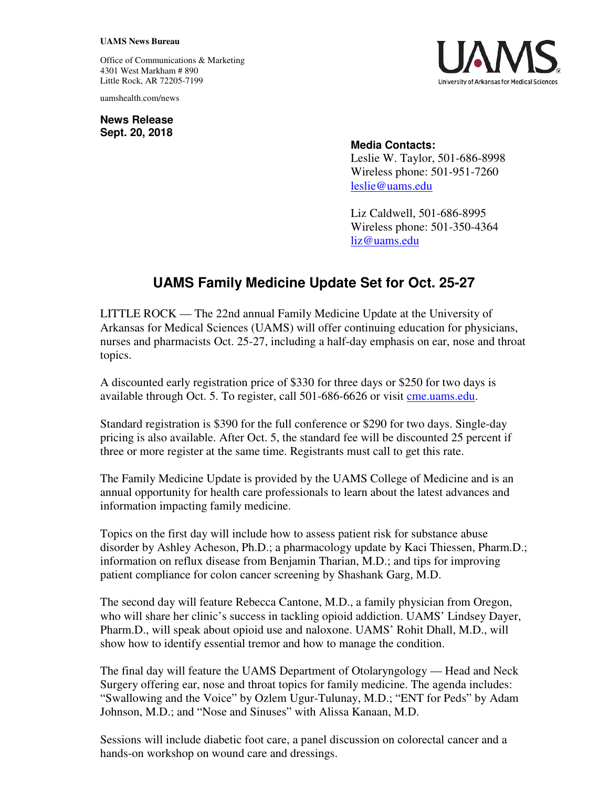## **UAMS News Bureau**

Office of Communications & Marketing 4301 West Markham # 890 Little Rock, AR 72205-7199

uamshealth.com/news

**News Release Sept. 20, 2018**



## **Media Contacts:**

Leslie W. Taylor, 501-686-8998 Wireless phone: 501-951-7260 leslie@uams.edu

Liz Caldwell, 501-686-8995 Wireless phone: 501-350-4364 liz@uams.edu

## **UAMS Family Medicine Update Set for Oct. 25-27**

LITTLE ROCK — The 22nd annual Family Medicine Update at the University of Arkansas for Medical Sciences (UAMS) will offer continuing education for physicians, nurses and pharmacists Oct. 25-27, including a half-day emphasis on ear, nose and throat topics.

A discounted early registration price of \$330 for three days or \$250 for two days is available through Oct. 5. To register, call 501-686-6626 or visit cme.uams.edu.

Standard registration is \$390 for the full conference or \$290 for two days. Single-day pricing is also available. After Oct. 5, the standard fee will be discounted 25 percent if three or more register at the same time. Registrants must call to get this rate.

The Family Medicine Update is provided by the UAMS College of Medicine and is an annual opportunity for health care professionals to learn about the latest advances and information impacting family medicine.

Topics on the first day will include how to assess patient risk for substance abuse disorder by Ashley Acheson, Ph.D.; a pharmacology update by Kaci Thiessen, Pharm.D.; information on reflux disease from Benjamin Tharian, M.D.; and tips for improving patient compliance for colon cancer screening by Shashank Garg, M.D.

The second day will feature Rebecca Cantone, M.D., a family physician from Oregon, who will share her clinic's success in tackling opioid addiction. UAMS' Lindsey Dayer, Pharm.D., will speak about opioid use and naloxone. UAMS' Rohit Dhall, M.D., will show how to identify essential tremor and how to manage the condition.

The final day will feature the UAMS Department of Otolaryngology — Head and Neck Surgery offering ear, nose and throat topics for family medicine. The agenda includes: "Swallowing and the Voice" by Ozlem Ugur-Tulunay, M.D.; "ENT for Peds" by Adam Johnson, M.D.; and "Nose and Sinuses" with Alissa Kanaan, M.D.

Sessions will include diabetic foot care, a panel discussion on colorectal cancer and a hands-on workshop on wound care and dressings.